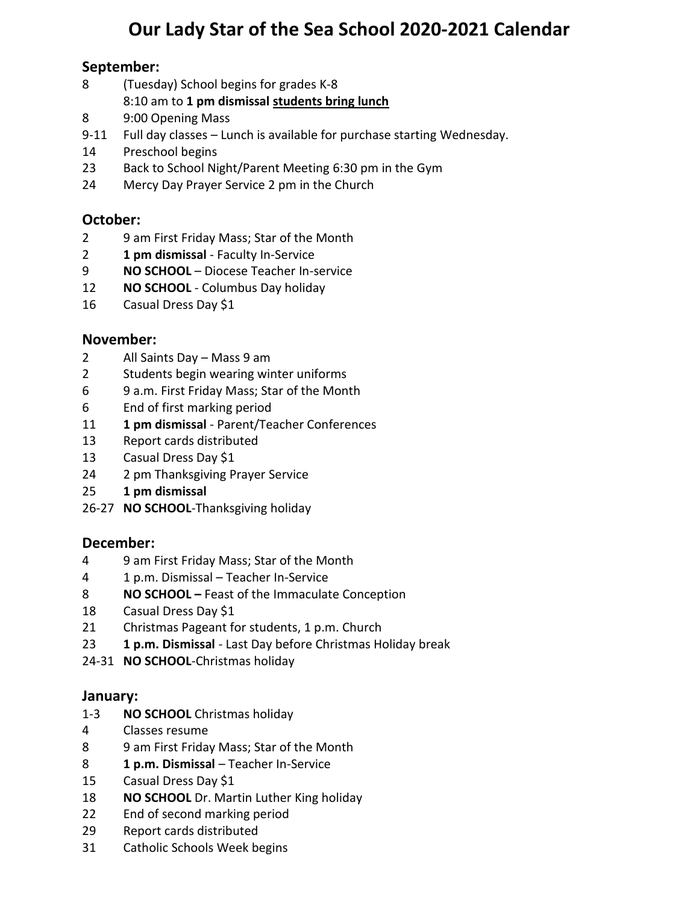# **Our Lady Star of the Sea School 2020-2021 Calendar**

# **September:**

- (Tuesday) School begins for grades K-8 8:10 am to **1 pm dismissal students bring lunch**
- 9:00 Opening Mass
- 9-11 Full day classes Lunch is available for purchase starting Wednesday.
- 14 Preschool begins
- Back to School Night/Parent Meeting 6:30 pm in the Gym
- Mercy Day Prayer Service 2 pm in the Church

# **October:**

- 9 am First Friday Mass; Star of the Month
- **1 pm dismissal** Faculty In-Service
- **NO SCHOOL**  Diocese Teacher In-service
- **NO SCHOOL** Columbus Day holiday
- Casual Dress Day \$1

#### **November:**

- All Saints Day Mass 9 am
- Students begin wearing winter uniforms
- 6 9 a.m. First Friday Mass; Star of the Month
- End of first marking period
- **1 pm dismissal** Parent/Teacher Conferences
- Report cards distributed
- Casual Dress Day \$1
- 2 pm Thanksgiving Prayer Service
- **1 pm dismissal**
- 26-27 **NO SCHOOL**-Thanksgiving holiday

#### **December:**

- 9 am First Friday Mass; Star of the Month
- 1 p.m. Dismissal Teacher In-Service
- **NO SCHOOL –** Feast of the Immaculate Conception
- Casual Dress Day \$1
- Christmas Pageant for students, 1 p.m. Church
- **1 p.m. Dismissal** Last Day before Christmas Holiday break
- 24-31 **NO SCHOOL**-Christmas holiday

#### **January:**

- 1-3 **NO SCHOOL** Christmas holiday
- Classes resume
- 9 am First Friday Mass; Star of the Month
- **1 p.m. Dismissal** Teacher In-Service
- Casual Dress Day \$1
- **NO SCHOOL** Dr. Martin Luther King holiday
- End of second marking period
- Report cards distributed
- Catholic Schools Week begins